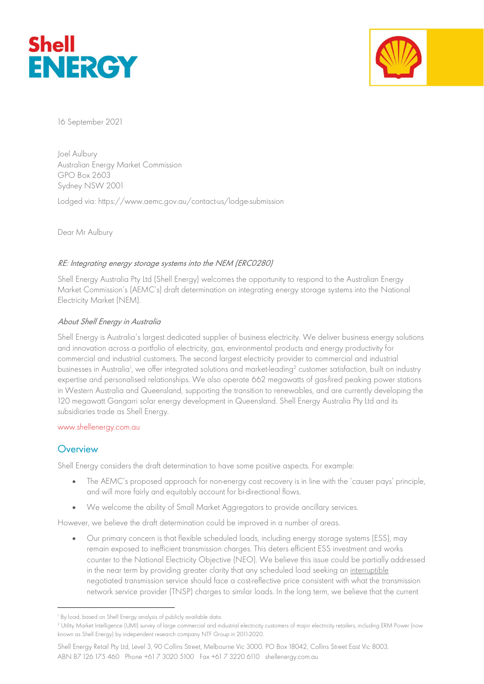



16 September 2021

Joel Aulbury Australian Energy Market Commission GPO Box 2603 Sydney NSW 2001

Lodged via: https://www.aemc.gov.au/contact-us/lodge-submission

Dear Mr Aulbury

### RE: Integrating energy storage systems into the NEM (ERC0280)

Shell Energy Australia Pty Ltd (Shell Energy) welcomes the opportunity to respond to the Australian Energy Market Commission's (AEMC's) draft determination on integrating energy storage systems into the National Electricity Market (NEM).

### About Shell Energy in Australia

Shell Energy is Australia's largest dedicated supplier of business electricity. We deliver business energy solutions and innovation across a portfolio of electricity, gas, environmental products and energy productivity for commercial and industrial customers. The second largest electricity provider to commercial and industrial businesses in Australia<sup>1</sup>, we offer integrated solutions and market-leading<sup>2</sup> customer satisfaction, built on industry expertise and personalised relationships. We also operate 662 megawatts of gas-fired peaking power stations in Western Australia and Queensland, supporting the transition to renewables, and are currently developing the 120 megawatt Gangarri solar energy development in Queensland. Shell Energy Australia Pty Ltd and its subsidiaries trade as Shell Energy.

#### www.shellenergy.com.au

## **Overview**

Shell Energy considers the draft determination to have some positive aspects. For example:

- The AEMC's proposed approach for non-energy cost recovery is in line with the 'causer pays' principle, and will more fairly and equitably account for bi-directional flows.
- We welcome the ability of Small Market Aggregators to provide ancillary services.

However, we believe the draft determination could be improved in a number of areas.

 Our primary concern is that flexible scheduled loads, including energy storage systems (ESS), may remain exposed to inefficient transmission charges. This deters efficient ESS investment and works counter to the National Electricity Objective (NEO). We believe this issue could be partially addressed in the near term by providing greater clarity that any scheduled load seeking an interruptible negotiated transmission service should face a cost-reflective price consistent with what the transmission network service provider (TNSP) charges to similar loads. In the long term, we believe that the current

<sup>1</sup> By load, based on Shell Energy analysis of publicly available data.

<sup>2</sup> Utility Market Intelligence (UMI) survey of large commercial and industrial electricity customers of major electricity retailers, including ERM Power (now known as Shell Energy) by independent research company NTF Group in 2011-2020.

Shell Energy Retail Pty Ltd, Level 3, 90 Collins Street, Melbourne Vic 3000. PO Box 18042, Collins Street East Vic 8003. ABN 87 126 175 460 Phone +61 7 3020 5100 Fax +61 7 3220 6110 shellenergy.com.au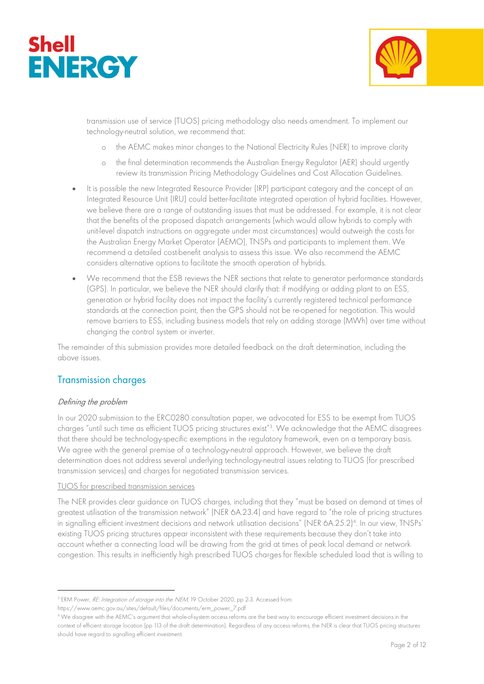



transmission use of service (TUOS) pricing methodology also needs amendment. To implement our technology-neutral solution, we recommend that:

- o the AEMC makes minor changes to the National Electricity Rules (NER) to improve clarity
- o the final determination recommends the Australian Energy Regulator (AER) should urgently review its transmission Pricing Methodology Guidelines and Cost Allocation Guidelines.
- It is possible the new Integrated Resource Provider (IRP) participant category and the concept of an Integrated Resource Unit (IRU) could better-facilitate integrated operation of hybrid facilities. However, we believe there are a range of outstanding issues that must be addressed. For example, it is not clear that the benefits of the proposed dispatch arrangements (which would allow hybrids to comply with unit-level dispatch instructions on aggregate under most circumstances) would outweigh the costs for the Australian Energy Market Operator (AEMO), TNSPs and participants to implement them. We recommend a detailed cost-benefit analysis to assess this issue. We also recommend the AEMC considers alternative options to facilitate the smooth operation of hybrids.
- We recommend that the ESB reviews the NER sections that relate to generator performance standards (GPS). In particular, we believe the NER should clarify that: if modifying or adding plant to an ESS, generation or hybrid facility does not impact the facility's currently registered technical performance standards at the connection point, then the GPS should not be re-opened for negotiation. This would remove barriers to ESS, including business models that rely on adding storage (MWh) over time without changing the control system or inverter.

The remainder of this submission provides more detailed feedback on the draft determination, including the above issues.

## Transmission charges

### Defining the problem

In our 2020 submission to the ERC0280 consultation paper, we advocated for ESS to be exempt from TUOS charges "until such time as efficient TUOS pricing structures exist"<sup>3</sup> . We acknowledge that the AEMC disagrees that there should be technology-specific exemptions in the regulatory framework, even on a temporary basis. We agree with the general premise of a technology-neutral approach. However, we believe the draft determination does not address several underlying technology-neutral issues relating to TUOS (for prescribed transmission services) and charges for negotiated transmission services.

#### TUOS for prescribed transmission services

The NER provides clear guidance on TUOS charges, including that they "must be based on demand at times of greatest utilisation of the transmission network" (NER 6A.23.4) and have regard to "the role of pricing structures in signalling efficient investment decisions and network utilisation decisions" (NER 6A.25.2)<sup>4</sup>. In our view, TNSPs' existing TUOS pricing structures appear inconsistent with these requirements because they don't take into account whether a connecting load will be drawing from the grid at times of peak local demand or network congestion. This results in inefficiently high prescribed TUOS charges for flexible scheduled load that is willing to

<sup>&</sup>lt;sup>3</sup> ERM Power, *RE: Integration of storage into the NEM*, 19 October 2020, pp 2-3. Accessed from:

https://www.aemc.gov.au/sites/default/files/documents/erm\_power\_7.pdf

<sup>4</sup> We disagree with the AEMC's argument that whole-of-system access reforms are the best way to encourage efficient investment decisions in the context of efficient storage location (pp 113 of the draft determination). Regardless of any access reforms, the NER is clear that TUOS pricing structures should have regard to signalling efficient investment.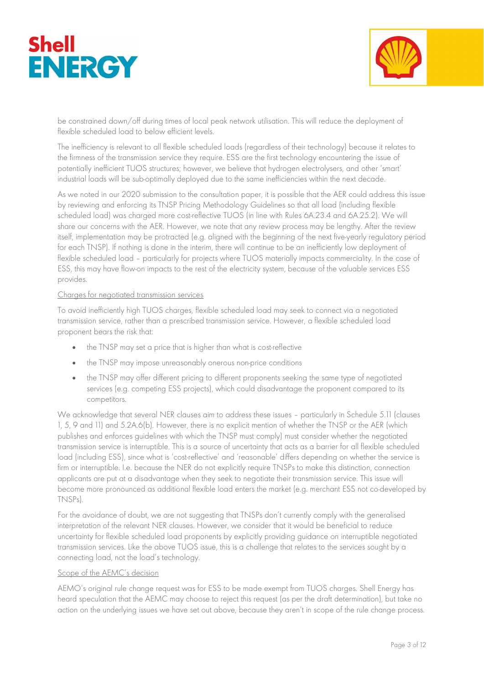



be constrained down/off during times of local peak network utilisation. This will reduce the deployment of flexible scheduled load to below efficient levels.

The inefficiency is relevant to all flexible scheduled loads (regardless of their technology) because it relates to the firmness of the transmission service they require. ESS are the first technology encountering the issue of potentially inefficient TUOS structures; however, we believe that hydrogen electrolysers, and other 'smart' industrial loads will be sub-optimally deployed due to the same inefficiencies within the next decade.

As we noted in our 2020 submission to the consultation paper, it is possible that the AER could address this issue by reviewing and enforcing its TNSP Pricing Methodology Guidelines so that all load (including flexible scheduled load) was charged more cost-reflective TUOS (in line with Rules 6A.23.4 and 6A.25.2). We will share our concerns with the AER. However, we note that any review process may be lengthy. After the review itself, implementation may be protracted (e.g. aligned with the beginning of the next five-yearly regulatory period for each TNSP). If nothing is done in the interim, there will continue to be an inefficiently low deployment of flexible scheduled load – particularly for projects where TUOS materially impacts commerciality. In the case of ESS, this may have flow-on impacts to the rest of the electricity system, because of the valuable services ESS provides.

#### Charges for negotiated transmission services

To avoid inefficiently high TUOS charges, flexible scheduled load may seek to connect via a negotiated transmission service, rather than a prescribed transmission service. However, a flexible scheduled load proponent bears the risk that:

- the TNSP may set a price that is higher than what is cost-reflective
- the TNSP may impose unreasonably onerous non-price conditions
- the TNSP may offer different pricing to different proponents seeking the same type of negotiated services (e.g. competing ESS projects), which could disadvantage the proponent compared to its competitors.

We acknowledge that several NER clauses aim to address these issues – particularly in Schedule 5.11 (clauses 1, 5, 9 and 11) and 5.2A.6(b). However, there is no explicit mention of whether the TNSP or the AER (which publishes and enforces guidelines with which the TNSP must comply) must consider whether the negotiated transmission service is interruptible. This is a source of uncertainty that acts as a barrier for all flexible scheduled load (including ESS), since what is 'cost-reflective' and 'reasonable' differs depending on whether the service is firm or interruptible. I.e. because the NER do not explicitly require TNSPs to make this distinction, connection applicants are put at a disadvantage when they seek to negotiate their transmission service. This issue will become more pronounced as additional flexible load enters the market (e.g. merchant ESS not co-developed by TNSPs).

For the avoidance of doubt, we are not suggesting that TNSPs don't currently comply with the generalised interpretation of the relevant NER clauses. However, we consider that it would be beneficial to reduce uncertainty for flexible scheduled load proponents by explicitly providing guidance on interruptible negotiated transmission services. Like the above TUOS issue, this is a challenge that relates to the services sought by a connecting load, not the load's technology.

#### Scope of the AEMC's decision

AEMO's original rule change request was for ESS to be made exempt from TUOS charges. Shell Energy has heard speculation that the AEMC may choose to reject this request (as per the draft determination), but take no action on the underlying issues we have set out above, because they aren't in scope of the rule change process.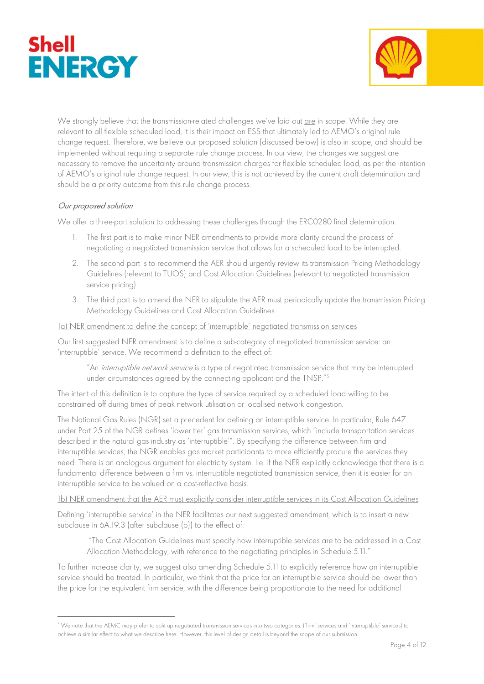



We strongly believe that the transmission-related challenges we've laid out are in scope. While they are relevant to all flexible scheduled load, it is their impact on ESS that ultimately led to AEMO's original rule change request. Therefore, we believe our proposed solution (discussed below) is also in scope, and should be implemented without requiring a separate rule change process. In our view, the changes we suggest are necessary to remove the uncertainty around transmission charges for flexible scheduled load, as per the intention of AEMO's original rule change request. In our view, this is not achieved by the current draft determination and should be a priority outcome from this rule change process.

### Our proposed solution

We offer a three-part solution to addressing these challenges through the ERC0280 final determination.

- 1. The first part is to make minor NER amendments to provide more clarity around the process of negotiating a negotiated transmission service that allows for a scheduled load to be interrupted.
- 2. The second part is to recommend the AER should urgently review its transmission Pricing Methodology Guidelines (relevant to TUOS) and Cost Allocation Guidelines (relevant to negotiated transmission service pricing).
- 3. The third part is to amend the NER to stipulate the AER must periodically update the transmission Pricing Methodology Guidelines and Cost Allocation Guidelines.

#### 1a) NER amendment to define the concept of 'interruptible' negotiated transmission services

Our first suggested NER amendment is to define a sub-category of negotiated transmission service: an 'interruptible' service. We recommend a definition to the effect of:

"An interruptible network service is a type of negotiated transmission service that may be interrupted under circumstances agreed by the connecting applicant and the TNSP."<sup>5</sup>

The intent of this definition is to capture the type of service required by a scheduled load willing to be constrained off during times of peak network utilisation or localised network congestion.

The National Gas Rules (NGR) set a precedent for defining an interruptible service. In particular, Rule 647 under Part 25 of the NGR defines 'lower tier' gas transmission services, which "include transportation services described in the natural gas industry as 'interruptible'". By specifying the difference between firm and interruptible services, the NGR enables gas market participants to more efficiently procure the services they need. There is an analogous argument for electricity system. I.e. if the NER explicitly acknowledge that there is a fundamental difference between a firm vs. interruptible negotiated transmission service, then it is easier for an interruptible service to be valued on a cost-reflective basis.

1b) NER amendment that the AER must explicitly consider interruptible services in its Cost Allocation Guidelines

Defining 'interruptible service' in the NER facilitates our next suggested amendment, which is to insert a new subclause in 6A.19.3 (after subclause (b)) to the effect of:

"The Cost Allocation Guidelines must specify how interruptible services are to be addressed in a Cost Allocation Methodology, with reference to the negotiating principles in Schedule 5.11."

To further increase clarity, we suggest also amending Schedule 5.11 to explicitly reference how an interruptible service should be treated. In particular, we think that the price for an interruptible service should be lower than the price for the equivalent firm service, with the difference being proportionate to the need for additional

<sup>5</sup> We note that the AEMC may prefer to split up negotiated transmission services into two categories: ('firm' services and 'interruptible' services) to achieve a similar effect to what we describe here. However, this level of design detail is beyond the scope of our submission.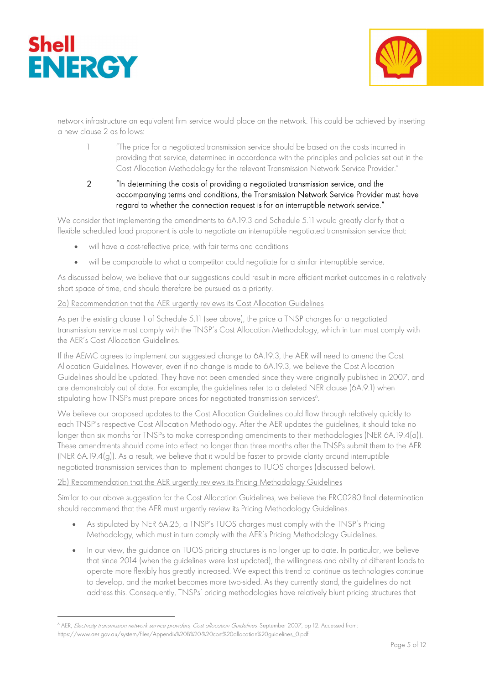



network infrastructure an equivalent firm service would place on the network. This could be achieved by inserting a new clause 2 as follows:

1 "The price for a negotiated transmission service should be based on the costs incurred in providing that service, determined in accordance with the principles and policies set out in the Cost Allocation Methodology for the relevant Transmission Network Service Provider."

### 2 "In determining the costs of providing a negotiated transmission service, and the accompanying terms and conditions, the Transmission Network Service Provider must have regard to whether the connection request is for an interruptible network service."

We consider that implementing the amendments to 6A.19.3 and Schedule 5.11 would greatly clarify that a flexible scheduled load proponent is able to negotiate an interruptible negotiated transmission service that:

- will have a cost-reflective price, with fair terms and conditions
- will be comparable to what a competitor could negotiate for a similar interruptible service.

As discussed below, we believe that our suggestions could result in more efficient market outcomes in a relatively short space of time, and should therefore be pursued as a priority.

#### 2a) Recommendation that the AER urgently reviews its Cost Allocation Guidelines

As per the existing clause 1 of Schedule 5.11 (see above), the price a TNSP charges for a negotiated transmission service must comply with the TNSP's Cost Allocation Methodology, which in turn must comply with the AER's Cost Allocation Guidelines.

If the AEMC agrees to implement our suggested change to 6A.19.3, the AER will need to amend the Cost Allocation Guidelines. However, even if no change is made to 6A.19.3, we believe the Cost Allocation Guidelines should be updated. They have not been amended since they were originally published in 2007, and are demonstrably out of date. For example, the guidelines refer to a deleted NER clause (6A.9.1) when stipulating how TNSPs must prepare prices for negotiated transmission services<sup>6</sup>.

We believe our proposed updates to the Cost Allocation Guidelines could flow through relatively quickly to each TNSP's respective Cost Allocation Methodology. After the AER updates the guidelines, it should take no longer than six months for TNSPs to make corresponding amendments to their methodologies (NER 6A.19.4(a)). These amendments should come into effect no longer than three months after the TNSPs submit them to the AER (NER 6A.19.4(g)). As a result, we believe that it would be faster to provide clarity around interruptible negotiated transmission services than to implement changes to TUOS charges (discussed below).

#### 2b) Recommendation that the AER urgently reviews its Pricing Methodology Guidelines

Similar to our above suggestion for the Cost Allocation Guidelines, we believe the ERC0280 final determination should recommend that the AER must urgently review its Pricing Methodology Guidelines.

- As stipulated by NER 6A.25, a TNSP's TUOS charges must comply with the TNSP's Pricing Methodology, which must in turn comply with the AER's Pricing Methodology Guidelines.
- In our view, the guidance on TUOS pricing structures is no longer up to date. In particular, we believe that since 2014 (when the guidelines were last updated), the willingness and ability of different loads to operate more flexibly has greatly increased. We expect this trend to continue as technologies continue to develop, and the market becomes more two-sided. As they currently stand, the guidelines do not address this. Consequently, TNSPs' pricing methodologies have relatively blunt pricing structures that

<sup>&</sup>lt;sup>6</sup> AER, *Electricity transmission network service providers, Cost allocation Guidelines*, September 2007, pp 12. Accessed from: https://www.aer.gov.au/system/files/Appendix%20B%20-%20cost%20allocation%20guidelines\_0.pdf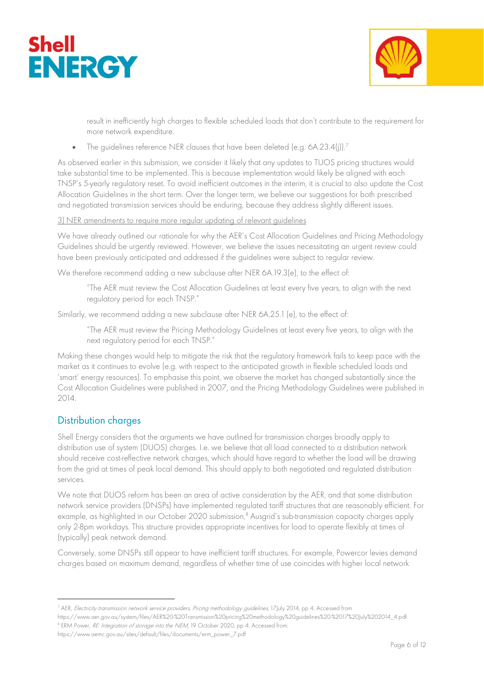



result in inefficiently high charges to flexible scheduled loads that don't contribute to the requirement for more network expenditure.

• The guidelines reference NER clauses that have been deleted (e.g. 6A.23.4(j)).<sup>7</sup>

As observed earlier in this submission, we consider it likely that any updates to TUOS pricing structures would take substantial time to be implemented. This is because implementation would likely be aligned with each TNSP's 5-yearly regulatory reset. To avoid inefficient outcomes in the interim, it is crucial to also update the Cost Allocation Guidelines in the short term. Over the longer term, we believe our suggestions for both prescribed and negotiated transmission services should be enduring, because they address slightly different issues.

#### 3) NER amendments to require more regular updating of relevant guidelines

We have already outlined our rationale for why the AER's Cost Allocation Guidelines and Pricing Methodology Guidelines should be urgently reviewed. However, we believe the issues necessitating an urgent review could have been previously anticipated and addressed if the guidelines were subject to regular review.

We therefore recommend adding a new subclause after NER 6A.19.3(e), to the effect of:

"The AER must review the Cost Allocation Guidelines at least every five years, to align with the next regulatory period for each TNSP."

Similarly, we recommend adding a new subclause after NER 6A.25.1 (e), to the effect of:

"The AER must review the Pricing Methodology Guidelines at least every five years, to align with the next regulatory period for each TNSP."

Making these changes would help to mitigate the risk that the regulatory framework fails to keep pace with the market as it continues to evolve (e.g. with respect to the anticipated growth in flexible scheduled loads and 'smart' energy resources). To emphasise this point, we observe the market has changed substantially since the Cost Allocation Guidelines were published in 2007, and the Pricing Methodology Guidelines were published in  $2014.$ 

# Distribution charges

Shell Energy considers that the arguments we have outlined for transmission charges broadly apply to distribution use of system (DUOS) charges. I.e. we believe that all load connected to a distribution network should receive cost-reflective network charges, which should have regard to whether the load will be drawing from the grid at times of peak local demand. This should apply to both negotiated and regulated distribution services.

We note that DUOS reform has been an area of active consideration by the AER, and that some distribution network service providers (DNSPs) have implemented regulated tariff structures that are reasonably efficient. For example, as highlighted in our October 2020 submission,<sup>8</sup> Ausgrid's sub-transmission capacity charges apply only 2-8pm workdays. This structure provides appropriate incentives for load to operate flexibly at times of (typically) peak network demand.

Conversely, some DNSPs still appear to have inefficient tariff structures. For example, Powercor levies demand charges based on maximum demand, regardless of whether time of use coincides with higher local network

https://www.aemc.gov.au/sites/default/files/documents/erm\_power\_7.pdf

<sup>&</sup>lt;sup>7</sup> AER, *Electricity transmission network service providers, Pricing methodology guidelines, 17*July 2014, pp 4. Accessed from

https://www.aer.gov.au/system/files/AER%20-%20Transmission%20pricing%20methodology%20guidelines%20-%2017%20July%202014\_4.pdf <sup>8</sup> ERM Power, *RE: Integration of storage into the NEM*, 19 October 2020, pp 4. Accessed from: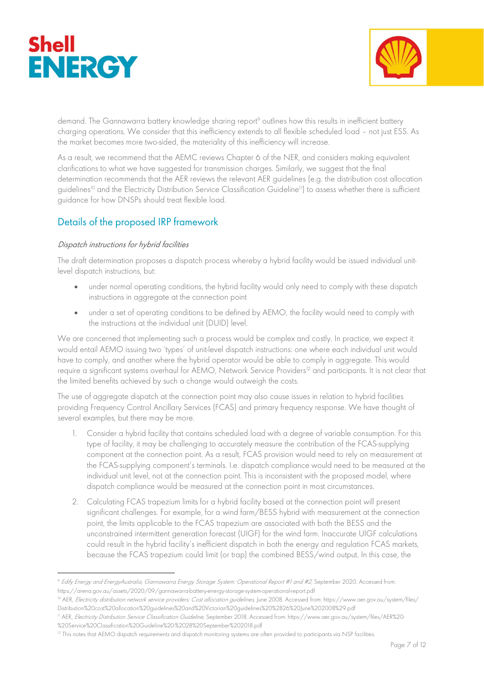



demand. The Gannawarra battery knowledge sharing report<sup>9</sup> outlines how this results in inefficient battery charging operations. We consider that this inefficiency extends to all flexible scheduled load – not just ESS. As the market becomes more two-sided, the materiality of this inefficiency will increase.

As a result, we recommend that the AEMC reviews Chapter 6 of the NER, and considers making equivalent clarifications to what we have suggested for transmission charges. Similarly, we suggest that the final determination recommends that the AER reviews the relevant AER guidelines (e.g. the distribution cost allocation guidelines<sup>10</sup> and the Electricity Distribution Service Classification Guideline<sup>11</sup>) to assess whether there is sufficient guidance for how DNSPs should treat flexible load.

# Details of the proposed IRP framework

### Dispatch instructions for hybrid facilities

The draft determination proposes a dispatch process whereby a hybrid facility would be issued individual unitlevel dispatch instructions, but:

- under normal operating conditions, the hybrid facility would only need to comply with these dispatch instructions in aggregate at the connection point
- under a set of operating conditions to be defined by AEMO, the facility would need to comply with the instructions at the individual unit (DUID) level.

We are concerned that implementing such a process would be complex and costly. In practice, we expect it would entail AEMO issuing two 'types' of unit-level dispatch instructions: one where each individual unit would have to comply, and another where the hybrid operator would be able to comply in aggregate. This would require a significant systems overhaul for AEMO, Network Service Providers<sup>12</sup> and participants. It is not clear that the limited benefits achieved by such a change would outweigh the costs.

The use of aggregate dispatch at the connection point may also cause issues in relation to hybrid facilities providing Frequency Control Ancillary Services (FCAS) and primary frequency response. We have thought of several examples, but there may be more.

- 1. Consider a hybrid facility that contains scheduled load with a degree of variable consumption. For this type of facility, it may be challenging to accurately measure the contribution of the FCAS-supplying component at the connection point. As a result, FCAS provision would need to rely on measurement at the FCAS-supplying component's terminals. I.e. dispatch compliance would need to be measured at the individual unit level, not at the connection point. This is inconsistent with the proposed model, where dispatch compliance would be measured at the connection point in most circumstances.
- 2. Calculating FCAS trapezium limits for a hybrid facility based at the connection point will present significant challenges. For example, for a wind farm/BESS hybrid with measurement at the connection point, the limits applicable to the FCAS trapezium are associated with both the BESS and the unconstrained intermittent generation forecast (UIGF) for the wind farm. Inaccurate UIGF calculations could result in the hybrid facility's inefficient dispatch in both the energy and regulation FCAS markets, because the FCAS trapezium could limit (or trap) the combined BESS/wind output. In this case, the

<sup>9</sup> Edify Energy and EnergyAustralia, Gannawarra Energy Storage System: Operational Report #1 and #2, September 2020. Accessed from: https://arena.gov.au/assets/2020/09/gannawarra-battery-energy-storage-system-operational-report.pdf

<sup>&</sup>lt;sup>10</sup> AER, Electricity distribution network service providers: Cost allocation guidelines, June 2008. Accessed from: https://www.aer.gov.au/system/files/ Distribution%20cost%20allocation%20guidelines%20and%20Victorian%20guidelines%20%2826%20June%202008%29.pdf

<sup>&</sup>lt;sup>11</sup> AER, *Electricity Distribution Service Classification Guideline*, September 2018. Accessed from: https://www.aer.gov.au/system/files/AER%20-%20Service%20Classification%20Guideline%20-%2028%20September%202018.pdf

<sup>&</sup>lt;sup>12</sup> This notes that AEMO dispatch requirements and dispatch monitoring systems are often provided to participants via NSP facilities.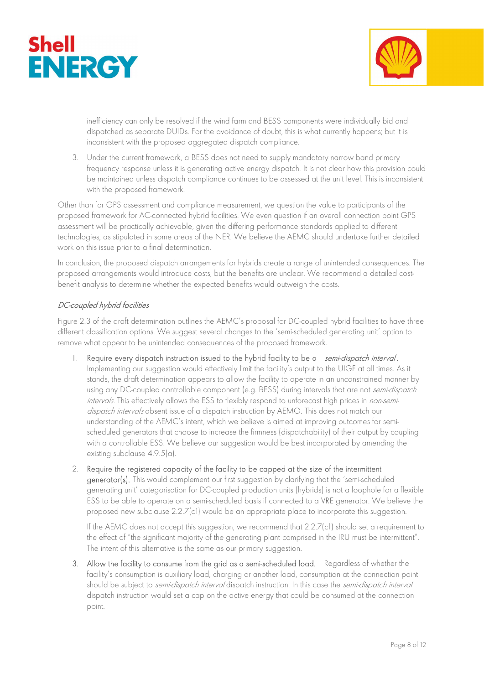



inefficiency can only be resolved if the wind farm and BESS components were individually bid and dispatched as separate DUIDs. For the avoidance of doubt, this is what currently happens; but it is inconsistent with the proposed aggregated dispatch compliance.

3. Under the current framework, a BESS does not need to supply mandatory narrow band primary frequency response unless it is generating active energy dispatch. It is not clear how this provision could be maintained unless dispatch compliance continues to be assessed at the unit level. This is inconsistent with the proposed framework.

Other than for GPS assessment and compliance measurement, we question the value to participants of the proposed framework for AC-connected hybrid facilities. We even question if an overall connection point GPS assessment will be practically achievable, given the differing performance standards applied to different technologies, as stipulated in some areas of the NER. We believe the AEMC should undertake further detailed work on this issue prior to a final determination.

In conclusion, the proposed dispatch arrangements for hybrids create a range of unintended consequences. The proposed arrangements would introduce costs, but the benefits are unclear. We recommend a detailed costbenefit analysis to determine whether the expected benefits would outweigh the costs.

### DC-coupled hybrid facilities

Figure 2.3 of the draft determination outlines the AEMC's proposal for DC-coupled hybrid facilities to have three different classification options. We suggest several changes to the 'semi-scheduled generating unit' option to remove what appear to be unintended consequences of the proposed framework.

- Require every dispatch instruction issued to the hybrid facility to be a *semi-dispatch interval*. Implementing our suggestion would effectively limit the facility's output to the UIGF at all times. As it stands, the draft determination appears to allow the facility to operate in an unconstrained manner by using any DC-coupled controllable component (e.g. BESS) during intervals that are not *semi-dispatch* intervals. This effectively allows the ESS to flexibly respond to unforecast high prices in non-semidispatch intervals absent issue of a dispatch instruction by AEMO. This does not match our understanding of the AEMC's intent, which we believe is aimed at improving outcomes for semischeduled generators that choose to increase the firmness (dispatchability) of their output by coupling with a controllable ESS. We believe our suggestion would be best incorporated by amending the existing subclause 4.9.5(a).
- 2. Require the registered capacity of the facility to be capped at the size of the intermittent generator(s). This would complement our first suggestion by clarifying that the 'semi-scheduled generating unit' categorisation for DC-coupled production units (hybrids) is not a loophole for a flexible ESS to be able to operate on a semi-scheduled basis if connected to a VRE generator. We believe the proposed new subclause 2.2.7(c1) would be an appropriate place to incorporate this suggestion.

If the AEMC does not accept this suggestion, we recommend that 2.2.7(c1) should set a requirement to the effect of "the significant majority of the generating plant comprised in the IRU must be intermittent". The intent of this alternative is the same as our primary suggestion.

3. Allow the facility to consume from the grid as a semi-scheduled load. Regardless of whether the facility's consumption is auxiliary load, charging or another load, consumption at the connection point should be subject to *semi-dispatch interval* dispatch instruction. In this case the *semi-dispatch interval* dispatch instruction would set a cap on the active energy that could be consumed at the connection point.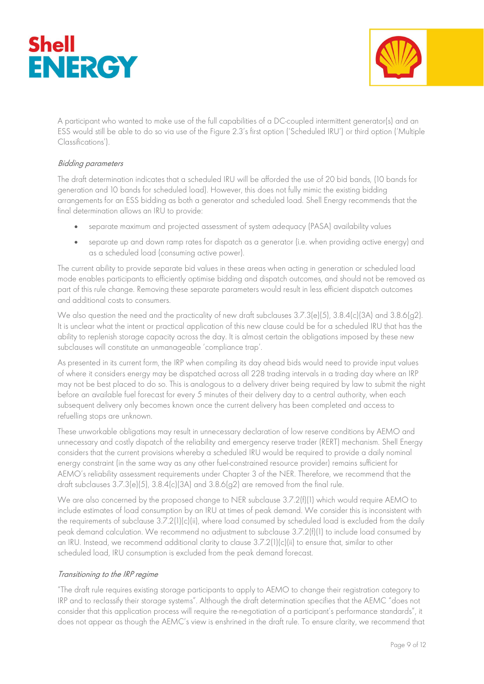



A participant who wanted to make use of the full capabilities of a DC-coupled intermittent generator(s) and an ESS would still be able to do so via use of the Figure 2.3's first option ('Scheduled IRU') or third option ('Multiple Classifications').

#### Bidding parameters

The draft determination indicates that a scheduled IRU will be afforded the use of 20 bid bands, (10 bands for generation and 10 bands for scheduled load). However, this does not fully mimic the existing bidding arrangements for an ESS bidding as both a generator and scheduled load. Shell Energy recommends that the final determination allows an IRU to provide:

- separate maximum and projected assessment of system adequacy (PASA) availability values
- separate up and down ramp rates for dispatch as a generator (i.e. when providing active energy) and as a scheduled load (consuming active power).

The current ability to provide separate bid values in these areas when acting in generation or scheduled load mode enables participants to efficiently optimise bidding and dispatch outcomes, and should not be removed as part of this rule change. Removing these separate parameters would result in less efficient dispatch outcomes and additional costs to consumers.

We also question the need and the practicality of new draft subclauses  $3.7.3$ (e)(5),  $3.8.4$ (c)(3A) and  $3.8.6$ (g2). It is unclear what the intent or practical application of this new clause could be for a scheduled IRU that has the ability to replenish storage capacity across the day. It is almost certain the obligations imposed by these new subclauses will constitute an unmanageable 'compliance trap'.

As presented in its current form, the IRP when compiling its day ahead bids would need to provide input values of where it considers energy may be dispatched across all 228 trading intervals in a trading day where an IRP may not be best placed to do so. This is analogous to a delivery driver being required by law to submit the night before an available fuel forecast for every 5 minutes of their delivery day to a central authority, when each subsequent delivery only becomes known once the current delivery has been completed and access to refuelling stops are unknown.

These unworkable obligations may result in unnecessary declaration of low reserve conditions by AEMO and unnecessary and costly dispatch of the reliability and emergency reserve trader (RERT) mechanism. Shell Energy considers that the current provisions whereby a scheduled IRU would be required to provide a daily nominal energy constraint (in the same way as any other fuel-constrained resource provider) remains sufficient for AEMO's reliability assessment requirements under Chapter 3 of the NER. Therefore, we recommend that the draft subclauses 3.7.3(e)(5), 3.8.4(c)(3A) and 3.8.6(g2) are removed from the final rule.

We are also concerned by the proposed change to NER subclause 3.7.2(f)(1) which would require AEMO to include estimates of load consumption by an IRU at times of peak demand. We consider this is inconsistent with the requirements of subclause 3.7.2(1)(c)(ii), where load consumed by scheduled load is excluded from the daily peak demand calculation. We recommend no adjustment to subclause 3.7.2(f)(1) to include load consumed by an IRU. Instead, we recommend additional clarity to clause 3.7.2(1)(c)(ii) to ensure that, similar to other scheduled load, IRU consumption is excluded from the peak demand forecast.

#### Transitioning to the IRP regime

"The draft rule requires existing storage participants to apply to AEMO to change their registration category to IRP and to reclassify their storage systems". Although the draft determination specifies that the AEMC "does not consider that this application process will require the re-negotiation of a participant's performance standards", it does not appear as though the AEMC's view is enshrined in the draft rule. To ensure clarity, we recommend that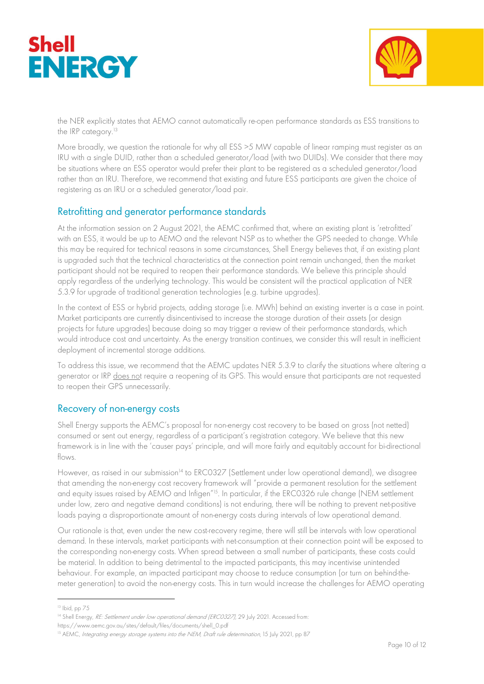



the NER explicitly states that AEMO cannot automatically re-open performance standards as ESS transitions to the IRP category.<sup>13</sup>

More broadly, we question the rationale for why all ESS >5 MW capable of linear ramping must register as an IRU with a single DUID, rather than a scheduled generator/load (with two DUIDs). We consider that there may be situations where an ESS operator would prefer their plant to be registered as a scheduled generator/load rather than an IRU. Therefore, we recommend that existing and future ESS participants are given the choice of registering as an IRU or a scheduled generator/load pair.

## Retrofitting and generator performance standards

At the information session on 2 August 2021, the AEMC confirmed that, where an existing plant is 'retrofitted' with an ESS, it would be up to AEMO and the relevant NSP as to whether the GPS needed to change. While this may be required for technical reasons in some circumstances, Shell Energy believes that, if an existing plant is upgraded such that the technical characteristics at the connection point remain unchanged, then the market participant should not be required to reopen their performance standards. We believe this principle should apply regardless of the underlying technology. This would be consistent will the practical application of NER 5.3.9 for upgrade of traditional generation technologies (e.g. turbine upgrades).

In the context of ESS or hybrid projects, adding storage (i.e. MWh) behind an existing inverter is a case in point. Market participants are currently disincentivised to increase the storage duration of their assets (or design projects for future upgrades) because doing so may trigger a review of their performance standards, which would introduce cost and uncertainty. As the energy transition continues, we consider this will result in inefficient deployment of incremental storage additions.

To address this issue, we recommend that the AEMC updates NER 5.3.9 to clarify the situations where altering a generator or IRP does not require a reopening of its GPS. This would ensure that participants are not requested to reopen their GPS unnecessarily.

# Recovery of non-energy costs

Shell Energy supports the AEMC's proposal for non-energy cost recovery to be based on gross (not netted) consumed or sent out energy, regardless of a participant's registration category. We believe that this new framework is in line with the 'causer pays' principle, and will more fairly and equitably account for bi-directional flows.

However, as raised in our submission<sup>14</sup> to ERC0327 (Settlement under low operational demand), we disagree that amending the non-energy cost recovery framework will "provide a permanent resolution for the settlement and equity issues raised by AEMO and Infigen<sup>"15</sup>. In particular, if the ERC0326 rule change (NEM settlement under low, zero and negative demand conditions) is not enduring, there will be nothing to prevent net-positive loads paying a disproportionate amount of non-energy costs during intervals of low operational demand.

Our rationale is that, even under the new cost-recovery regime, there will still be intervals with low operational demand. In these intervals, market participants with net-consumption at their connection point will be exposed to the corresponding non-energy costs. When spread between a small number of participants, these costs could be material. In addition to being detrimental to the impacted participants, this may incentivise unintended behaviour. For example, an impacted participant may choose to reduce consumption (or turn on behind-themeter generation) to avoid the non-energy costs. This in turn would increase the challenges for AEMO operating

<sup>13</sup> Ibid, pp 75

<sup>&</sup>lt;sup>14</sup> Shell Energy, RE: Settlement under low operational demand (ERC0327), 29 July 2021. Accessed from:

https://www.aemc.gov.au/sites/default/files/documents/shell\_0.pdf

<sup>&</sup>lt;sup>15</sup> AEMC, Integrating energy storage systems into the NEM, Draft rule determination, 15 July 2021, pp 87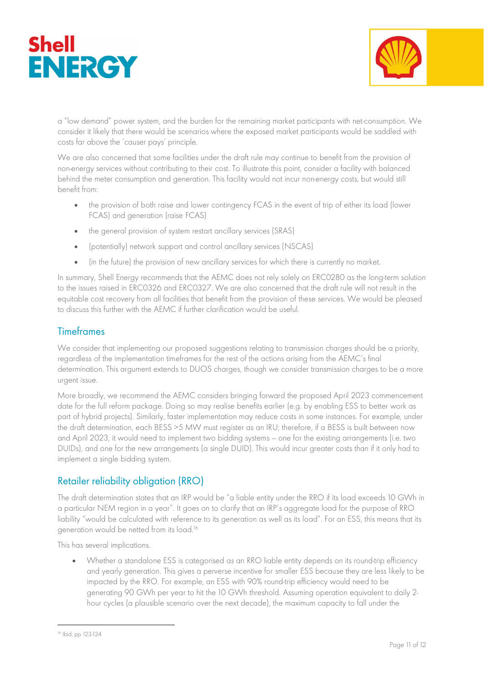



a "low demand" power system, and the burden for the remaining market participants with net-consumption. We consider it likely that there would be scenarios where the exposed market participants would be saddled with costs far above the 'causer pays' principle.

We are also concerned that some facilities under the draft rule may continue to benefit from the provision of non-energy services without contributing to their cost. To illustrate this point, consider a facility with balanced behind the meter consumption and generation. This facility would not incur non-energy costs, but would still benefit from:

- the provision of both raise and lower contingency FCAS in the event of trip of either its load (lower FCAS) and generation (raise FCAS)
- the general provision of system restart ancillary services (SRAS)
- (potentially) network support and control ancillary services (NSCAS)
- (in the future) the provision of new ancillary services for which there is currently no market.

In summary, Shell Energy recommends that the AEMC does not rely solely on ERC0280 as the long-term solution to the issues raised in ERC0326 and ERC0327. We are also concerned that the draft rule will not result in the equitable cost recovery from all facilities that benefit from the provision of these services. We would be pleased to discuss this further with the AEMC if further clarification would be useful.

### **Timeframes**

We consider that implementing our proposed suggestions relating to transmission charges should be a priority, regardless of the implementation timeframes for the rest of the actions arising from the AEMC's final determination. This argument extends to DUOS charges, though we consider transmission charges to be a more urgent issue.

More broadly, we recommend the AEMC considers bringing forward the proposed April 2023 commencement date for the full reform package. Doing so may realise benefits earlier (e.g. by enabling ESS to better work as part of hybrid projects). Similarly, faster implementation may reduce costs in some instances. For example, under the draft determination, each BESS >5 MW must register as an IRU; therefore, if a BESS is built between now and April 2023, it would need to implement two bidding systems — one for the existing arrangements (i.e. two DUIDs), and one for the new arrangements (a single DUID). This would incur greater costs than if it only had to implement a single bidding system.

## Retailer reliability obligation (RRO)

The draft determination states that an IRP would be "a liable entity under the RRO if its load exceeds 10 GWh in a particular NEM region in a year". It goes on to clarify that an IRP's aggregate load for the purpose of RRO liability "would be calculated with reference to its generation as well as its load". For an ESS, this means that its generation would be netted from its load.<sup>16</sup>

This has several implications.

• Whether a standalone ESS is categorised as an RRO liable entity depends on its round-trip efficiency and yearly generation. This gives a perverse incentive for smaller ESS because they are less likely to be impacted by the RRO. For example, an ESS with 90% round-trip efficiency would need to be generating 90 GWh per year to hit the 10 GWh threshold. Assuming operation equivalent to daily 2 hour cycles (a plausible scenario over the next decade), the maximum capacity to fall under the

<sup>16</sup> Ibid, pp 123-124